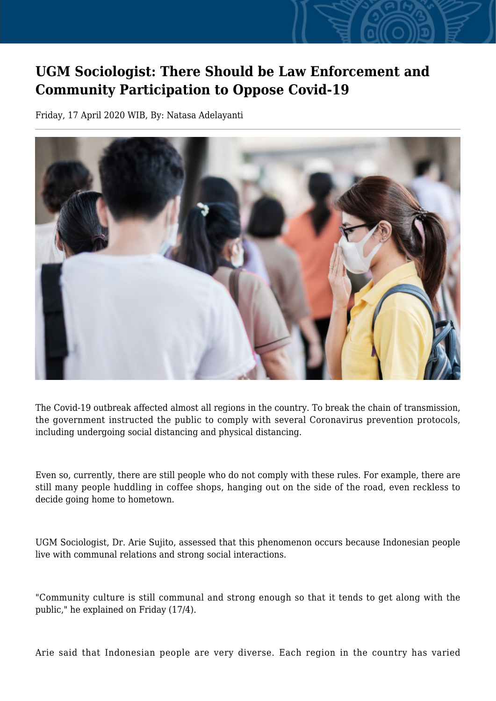## **UGM Sociologist: There Should be Law Enforcement and Community Participation to Oppose Covid-19**

Friday, 17 April 2020 WIB, By: Natasa Adelayanti



The Covid-19 outbreak affected almost all regions in the country. To break the chain of transmission, the government instructed the public to comply with several Coronavirus prevention protocols, including undergoing social distancing and physical distancing.

Even so, currently, there are still people who do not comply with these rules. For example, there are still many people huddling in coffee shops, hanging out on the side of the road, even reckless to decide going home to hometown.

UGM Sociologist, Dr. Arie Sujito, assessed that this phenomenon occurs because Indonesian people live with communal relations and strong social interactions.

"Community culture is still communal and strong enough so that it tends to get along with the public," he explained on Friday (17/4).

Arie said that Indonesian people are very diverse. Each region in the country has varied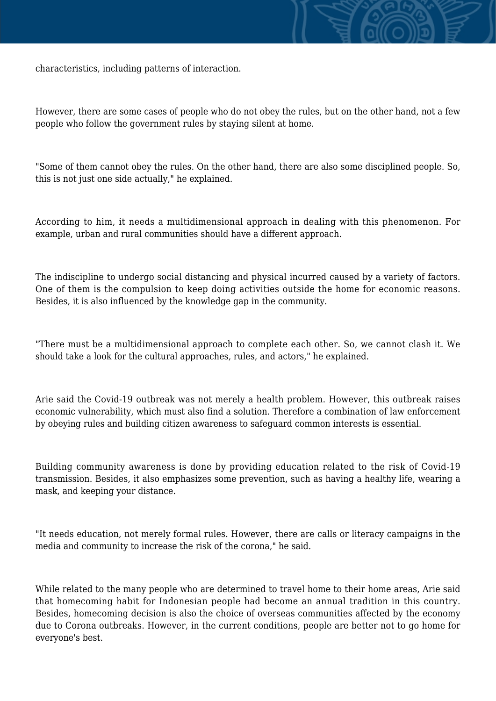

However, there are some cases of people who do not obey the rules, but on the other hand, not a few people who follow the government rules by staying silent at home.

"Some of them cannot obey the rules. On the other hand, there are also some disciplined people. So, this is not just one side actually," he explained.

According to him, it needs a multidimensional approach in dealing with this phenomenon. For example, urban and rural communities should have a different approach.

The indiscipline to undergo social distancing and physical incurred caused by a variety of factors. One of them is the compulsion to keep doing activities outside the home for economic reasons. Besides, it is also influenced by the knowledge gap in the community.

"There must be a multidimensional approach to complete each other. So, we cannot clash it. We should take a look for the cultural approaches, rules, and actors," he explained.

Arie said the Covid-19 outbreak was not merely a health problem. However, this outbreak raises economic vulnerability, which must also find a solution. Therefore a combination of law enforcement by obeying rules and building citizen awareness to safeguard common interests is essential.

Building community awareness is done by providing education related to the risk of Covid-19 transmission. Besides, it also emphasizes some prevention, such as having a healthy life, wearing a mask, and keeping your distance.

"It needs education, not merely formal rules. However, there are calls or literacy campaigns in the media and community to increase the risk of the corona," he said.

While related to the many people who are determined to travel home to their home areas, Arie said that homecoming habit for Indonesian people had become an annual tradition in this country. Besides, homecoming decision is also the choice of overseas communities affected by the economy due to Corona outbreaks. However, in the current conditions, people are better not to go home for everyone's best.